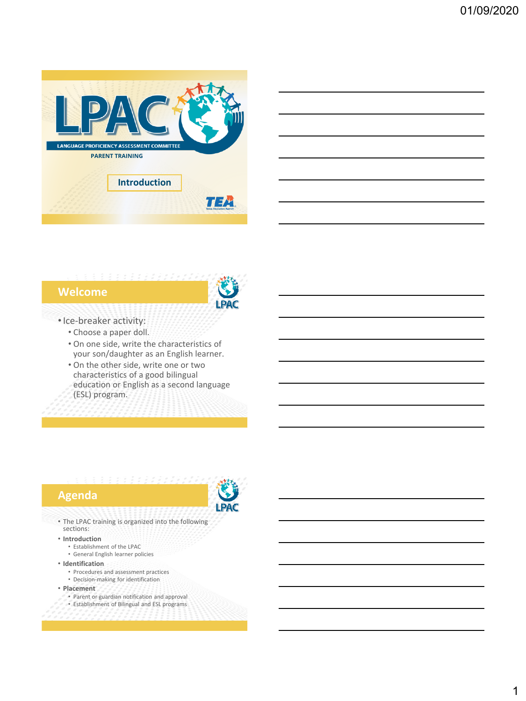

### **Welcome**



### •Ice-breaker activity:

- Choose a paper doll.
- On one side, write the characteristics of your son/daughter as an English learner.
- On the other side, write one or two characteristics of a good bilingual education or English as a second language (ESL) program.

### **Agenda**



• The LPAC training is organized into the following sections:

### • **Introduction**

- Establishment of the LPAC
- General English learner policies

### • **Identification**

- Procedures and assessment practices
- Decision-making for identification
- **Placement**
	- Parent or guardian notification and approval Establishment of Bilingual and ESL programs
	-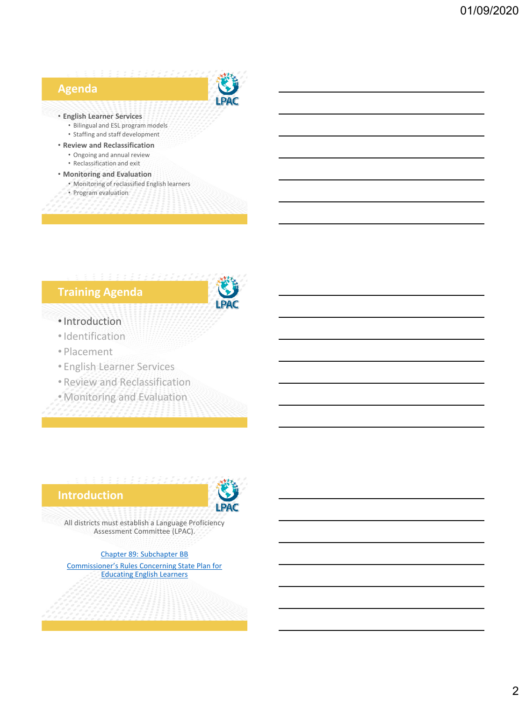# **Agenda**



### • **English Learner Services**

- Bilingual and ESL program models
- Staffing and staff development
- **Review and Reclassification** • Ongoing and annual review
	- Reclassification and exit

### • **Monitoring and Evaluation**

- Monitoring of reclassified English learners
- Program evaluation

# **Training Agenda**



### •Introduction

- •Identification
- Placement
- English Learner Services
- Review and Reclassification
- Monitoring and Evaluation

### **Introduction**



All districts must establish a Language Proficiency Assessment Committee (LPAC).

[Chapter 89: Subchapter BB](https://www.txel.org/commissionerrules/?tab=tab1) [Commissioner's Rules Concerning State Plan for](https://tea.texas.gov/about-tea/laws-and-rules/commissioner-rules-tac/coe-adopted/1806-adopted-revisions-to-19-tac-chapter-89-subchapter-bb)  Educating English Learners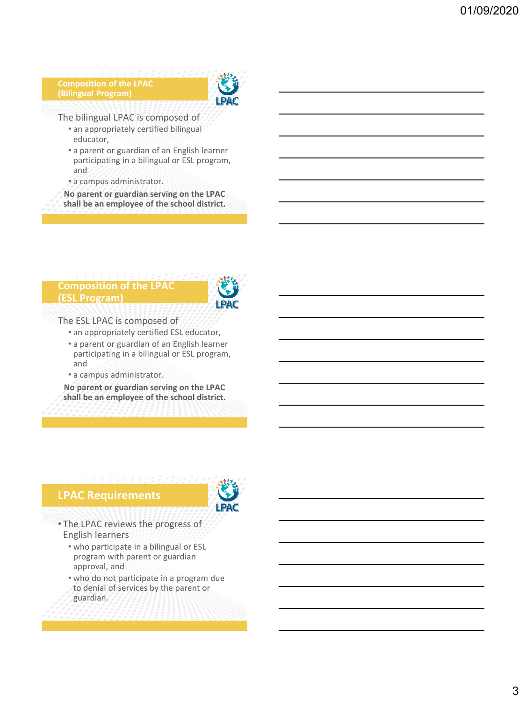### **Composition of the LPAC (Bilingual Program)**



The bilingual LPAC is composed of

- an appropriately certified bilingual educator,
- a parent or guardian of an English learner participating in a bilingual or ESL program, and
- a campus administrator.

**No parent or guardian serving on the LPAC shall be an employee of the school district.**

### **Composition of the LPAC (ESL Program)**



The ESL LPAC is composed of

- an appropriately certified ESL educator,
- a parent or guardian of an English learner participating in a bilingual or ESL program, and
- a campus administrator.

**No parent or guardian serving on the LPAC shall be an employee of the school district.**

## **LPAC Requirements**



- The LPAC reviews the progress of English learners
	- who participate in a bilingual or ESL program with parent or guardian approval, and
	- who do not participate in a program due to denial of services by the parent or guardian.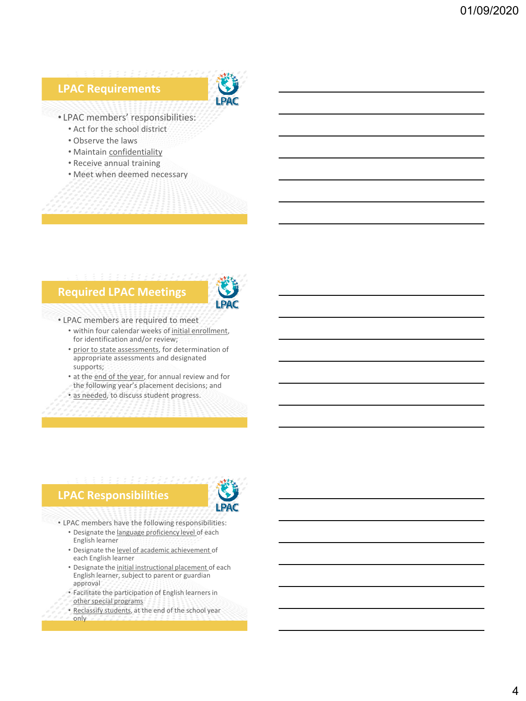



• LPAC members' responsibilities:

- Act for the school district
- Observe the laws
- Maintain confidentiality
- Receive annual training
- Meet when deemed necessary

# **Required LPAC Meetings**



### • LPAC members are required to meet

- within four calendar weeks of initial enrollment, for identification and/or review;
- prior to state assessments, for determination of appropriate assessments and designated supports;
- at the end of the year, for annual review and for the following year's placement decisions; and
- as needed, to discuss student progress.

# **LPAC Responsibilities**



- LPAC members have the following responsibilities:
	- Designate the language proficiency level of each English learner
	- Designate the level of academic achievement of each English learner
	- Designate the initial instructional placement of each English learner, subject to parent or guardian approval
	- Facilitate the participation of English learners in other special programs
	- Reclassify students, at the end of the school year only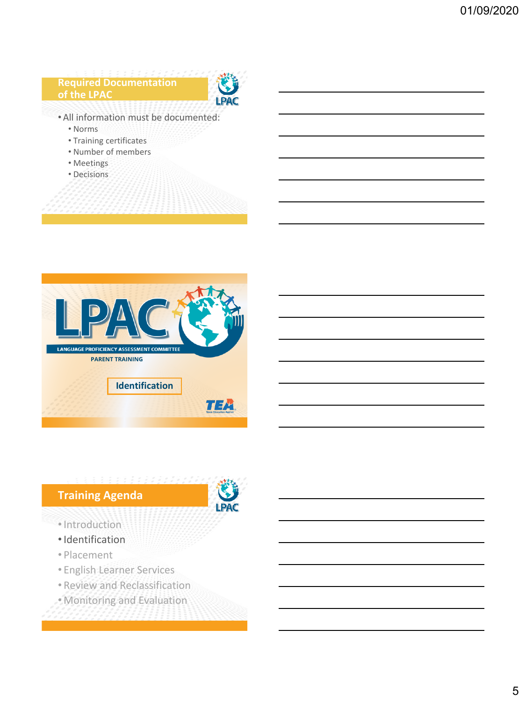# **Required Documentation of the LPAC** • All information must be documented: • Norms • Training certificates • Number of members

- Meetings
- Decisions





- •Introduction
- •Identification
- Placement
- English Learner Services
- Review and Reclassification
- Monitoring and Evaluation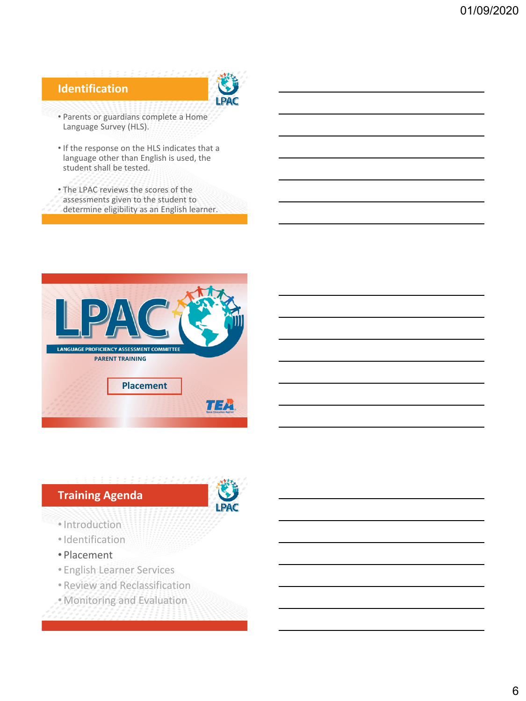# **Identification**



- Parents or guardians complete a Home Language Survey (HLS).
- If the response on the HLS indicates that a language other than English is used, the student shall be tested.
- The LPAC reviews the scores of the
- assessments given to the student to
- determine eligibility as an English learner.





- •Introduction
- •Identification
- Placement
- English Learner Services
- Review and Reclassification
- Monitoring and Evaluation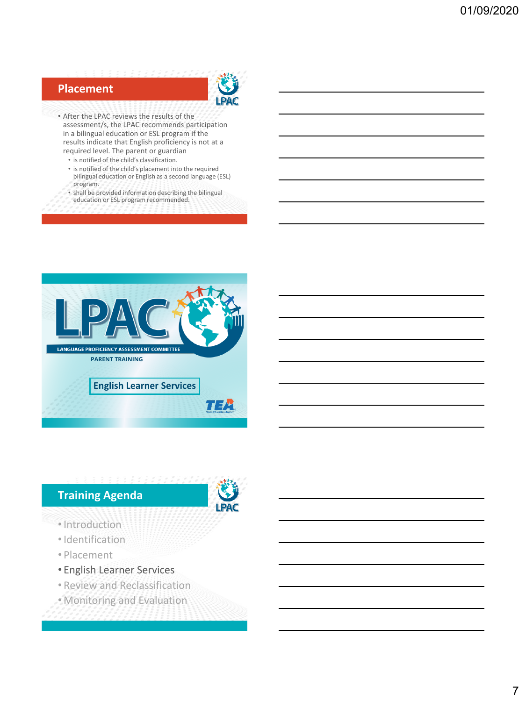# **Placement**



- After the LPAC reviews the results of the assessment/s, the LPAC recommends participation in a bilingual education or ESL program if the results indicate that English proficiency is not at a required level. The parent or guardian
	- is notified of the child's classification.
	- is notified of the child's placement into the required bilingual education or English as a second language (ESL) program.
	- shall be provided information describing the bilingual education or ESL program recommended.





- •Introduction
- •Identification
- Placement
- English Learner Services
- Review and Reclassification
- Monitoring and Evaluation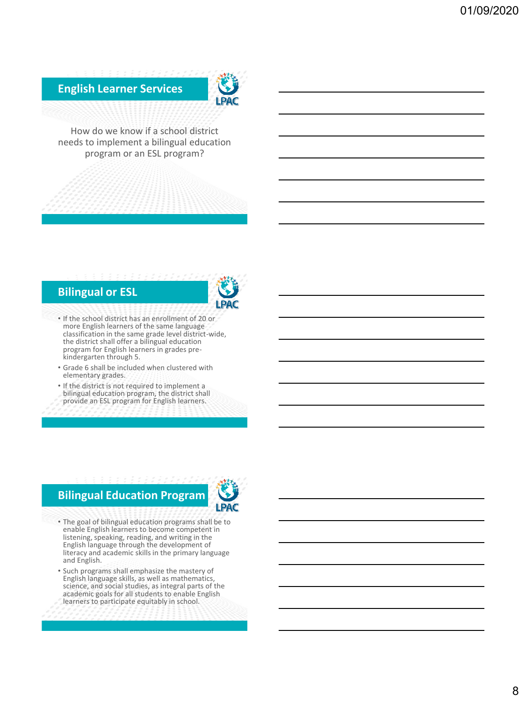**English Learner Services**



How do we know if a school district needs to implement a bilingual education program or an ESL program?

### **Bilingual or ESL**



- If the school district has an enrollment of 20 or more English learners of the same language classification in the same grade level district-wide, the district shall offer a bilingual education program for English learners in grades prekindergarten through 5.
- Grade 6 shall be included when clustered with elementary grades.
- If the district is not required to implement a bilingual education program, the district shall provide an ESL program for English learners.

# **Bilingual Education Program**



- The goal of bilingual education programs shall be to enable English learners to become competent in listening, speaking, reading, and writing in the English language through the development of literacy and academic skills in the primary language and English.
- Such programs shall emphasize the mastery of English language skills, as well as mathematics, science, and social studies, as integral parts of the academic goals for all students to enable English learners to participate equitably in school.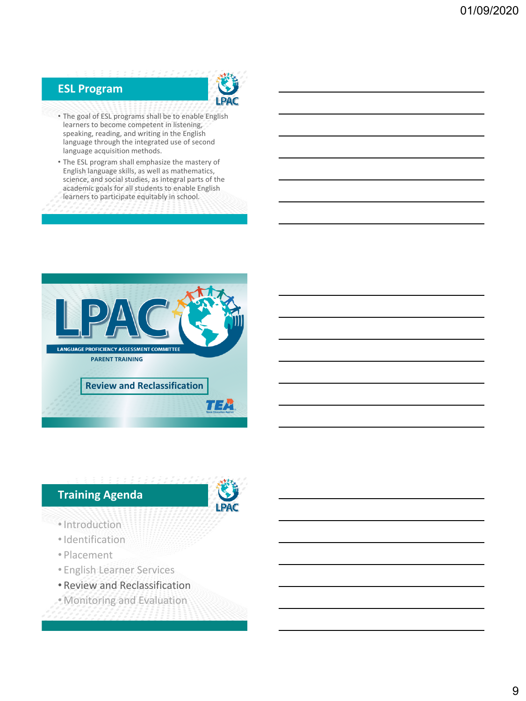

# **ESL Program**

- The goal of ESL programs shall be to enable English learners to become competent in listening, speaking, reading, and writing in the English language through the integrated use of second language acquisition methods.
- The ESL program shall emphasize the mastery of English language skills, as well as mathematics, science, and social studies, as integral parts of the academic goals for all students to enable English learners to participate equitably in school.





- •Introduction
- •Identification
- Placement
- English Learner Services
- Review and Reclassification
- Monitoring and Evaluation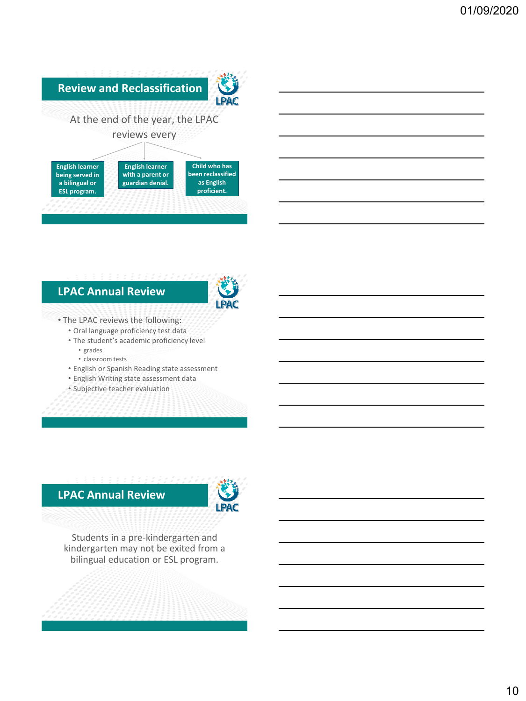

# **LPAC Annual Review**



### • The LPAC reviews the following:

- Oral language proficiency test data
- The student's academic proficiency level
	- grades
	- classroom tests
- English or Spanish Reading state assessment • English Writing state assessment data
- Subjective teacher evaluation

## **LPAC Annual Review**



Students in a pre-kindergarten and kindergarten may not be exited from a bilingual education or ESL program.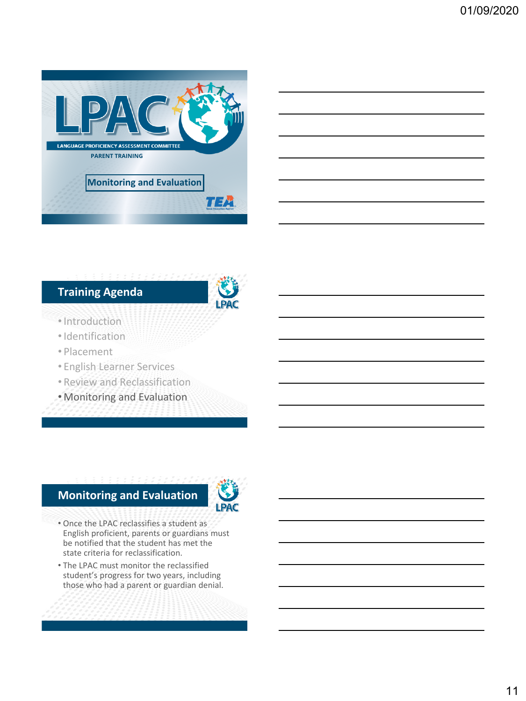

# **Training Agenda**



- •Introduction
- •Identification
- Placement
- English Learner Services
- Review and Reclassification
- Monitoring and Evaluation

## **Monitoring and Evaluation**



- Once the LPAC reclassifies a student as English proficient, parents or guardians must be notified that the student has met the state criteria for reclassification.
- The LPAC must monitor the reclassified student's progress for two years, including those who had a parent or guardian denial.